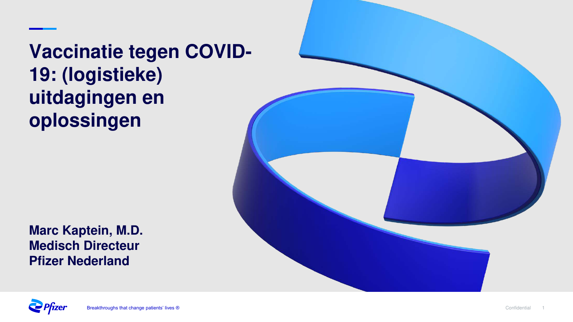**Vaccinatie tegen COVID-19: (logistieke) uitdagingen en oplossingen** 



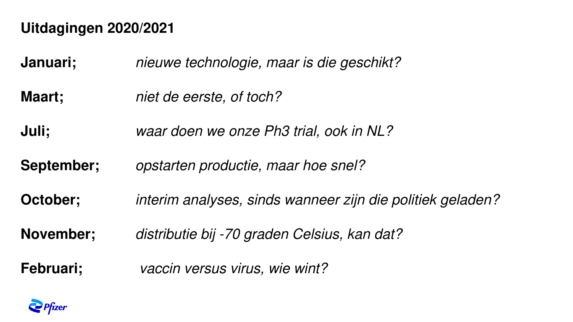### **Uitdagingen 2020/2021**

**Januari;** nieuwe technologie, maar is die geschikt?

**Maart;** niet de eerste, of toch?

**Juli;** waar doen we onze Ph3 trial, ook in NL?

**September;** opstarten productie, maar hoe snel?

**October;** interim analyses, sinds wanneer zijn die politiek geladen?

**November;** distributie bij -70 graden Celsius, kan dat?

**Februari;** vaccin versus virus, wie wint?

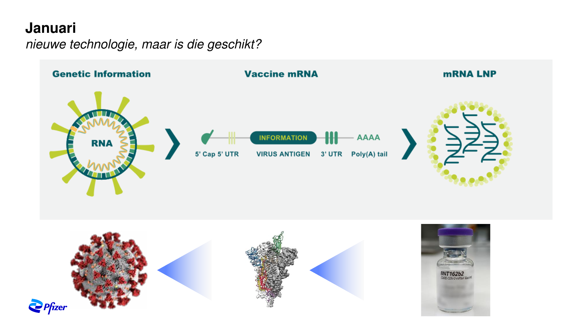#### **Januari**

nieuwe technologie, maar is die geschikt?

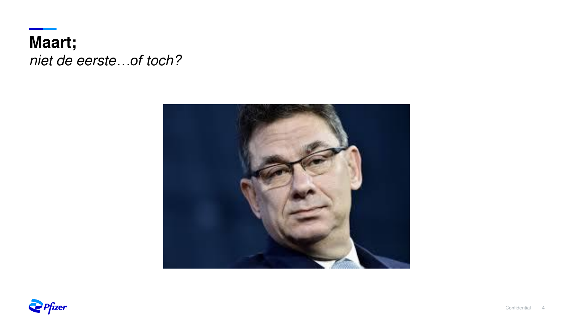**Maart;**  niet de eerste*…of* toch?



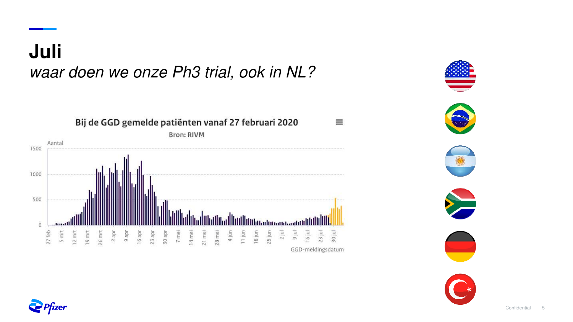## **Juli** waar doen we onze Ph3 trial, ook in NL?





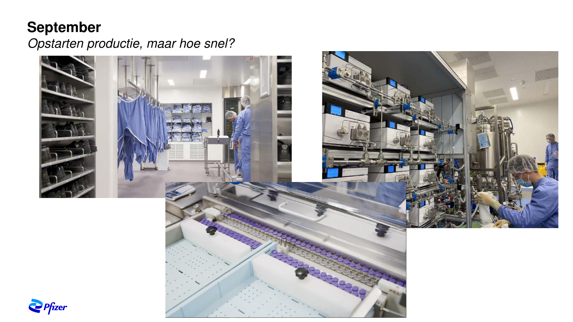### **September**

Opstarten productie, maar hoe snel?



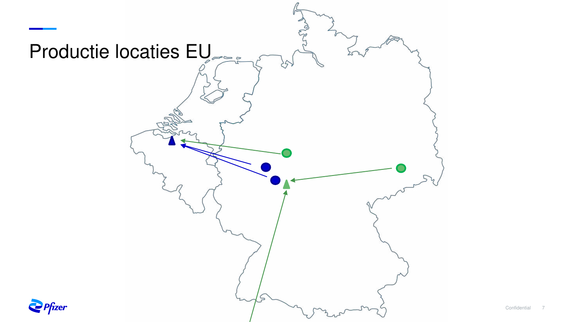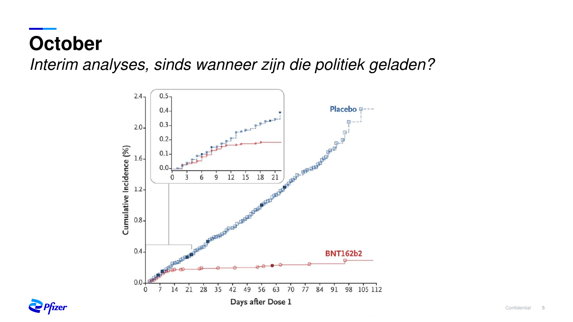# **October**

Interim analyses, sinds wanneer zijn die politiek geladen?



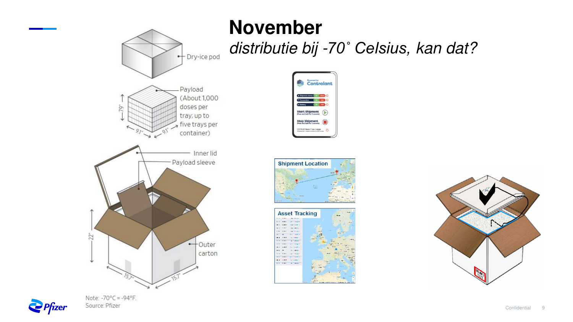



CO 10.01 Regi-T me Logge









Note:  $-70^{\circ}$ C =  $-94^{\circ}$ F. Source: Pfizer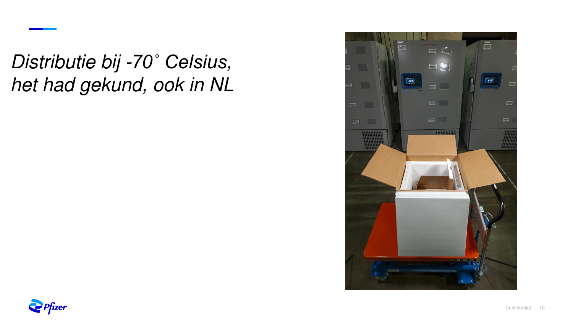Distributie bij -*70˚ Celsius,*  het had gekund, ook in NL



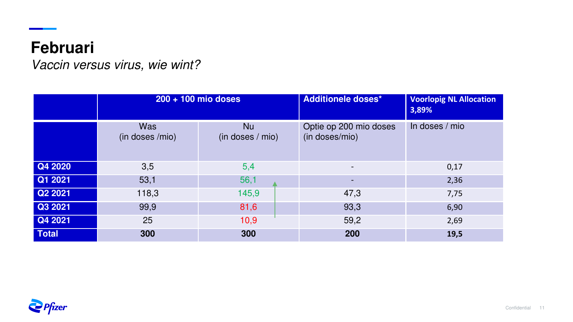### **Februari**

<u>a sa Bara</u>

Vaccin versus virus, wie wint?

|              | 200 + 100 mio doses           |                        | <b>Additionele doses*</b>                | <b>Voorlopig NL Allocation</b><br>3,89% |
|--------------|-------------------------------|------------------------|------------------------------------------|-----------------------------------------|
|              | <b>Was</b><br>(in doses /mio) | Nu<br>(in doses / mio) | Optie op 200 mio doses<br>(in doses/mio) | In doses / mio                          |
| Q4 2020      | 3,5                           | 5,4                    | $\overline{\phantom{a}}$                 | 0,17                                    |
| Q1 2021      | 53,1                          | 56,1                   | $\overline{\phantom{a}}$                 | 2,36                                    |
| Q2 2021      | 118,3                         | 145,9                  | 47,3                                     | 7,75                                    |
| Q3 2021      | 99,9                          | 81,6                   | 93,3                                     | 6,90                                    |
| Q4 2021      | 25                            | 10,9                   | 59,2                                     | 2,69                                    |
| <b>Total</b> | 300                           | 300                    | 200                                      | 19,5                                    |

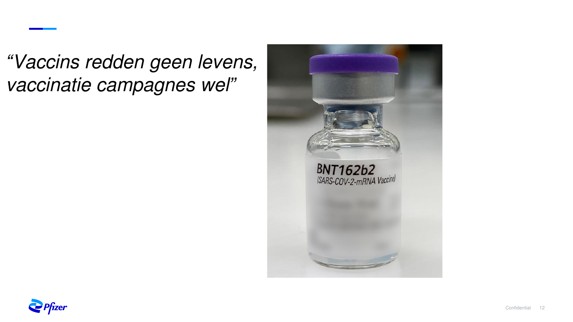*"*Vaccins redden geen levens, vaccinatie campagnes wel*"*



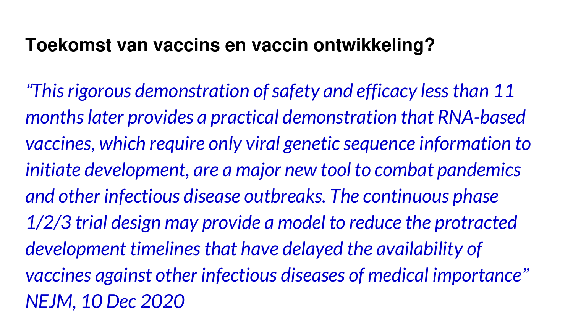## **Toekomst van vaccins en vaccin ontwikkeling?**

*"This rigorous demonstration of safety and efficacy less than 11 months later provides a practical demonstration that RNA-based vaccines, which require only viral genetic sequence information to initiate development, are a major new tool to combat pandemics and other infectious disease outbreaks. The continuous phase 1/2/3 trial design may provide a model to reduce the protracted development timelines that have delayed the availability of vaccines against other infectious diseases of medical importance" NEJM, 10 Dec 2020*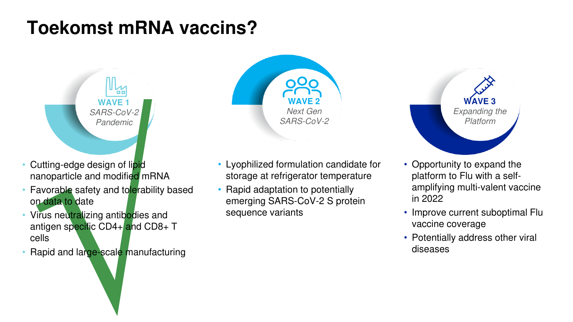## **Toekomst mRNA vaccins?**

**WAVE** SARS-CoV-2 Pandemic

۵ċ

- Cutting-edge design of lipid nanoparticle and modified mRNA
- Favorable safety and tolerability based on data to date
- Virus neutralizing antibodies and antigen specific CD4+ and CD8+ T cells
- Rapid and large-scale manufacturing



- Lyophilized formulation candidate for storage at refrigerator temperature
- Rapid adaptation to potentially emerging SARS-CoV-2 S protein sequence variants



- Opportunity to expand the platform to Flu with a selfamplifying multi-valent vaccine in 2022
- Improve current suboptimal Flu vaccine coverage
- Potentially address other viral diseases